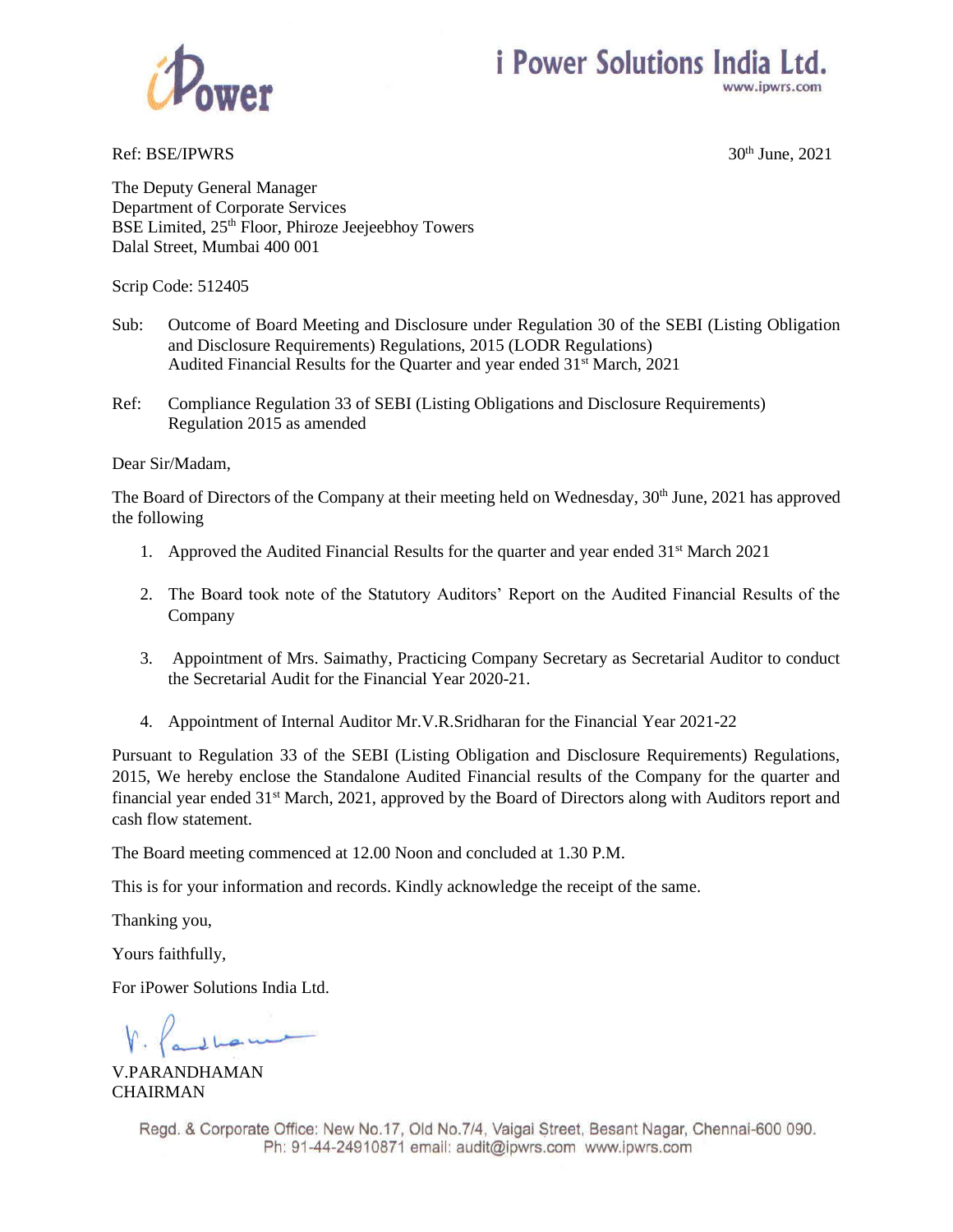



Ref: BSE/IPWRS  $30<sup>th</sup>$  June,  $2021$ 

The Deputy General Manager Department of Corporate Services BSE Limited, 25<sup>th</sup> Floor, Phiroze Jeejeebhoy Towers Dalal Street, Mumbai 400 001

Scrip Code: 512405

- Sub: Outcome of Board Meeting and Disclosure under Regulation 30 of the SEBI (Listing Obligation and Disclosure Requirements) Regulations, 2015 (LODR Regulations) Audited Financial Results for the Quarter and year ended 31<sup>st</sup> March, 2021
- Ref: Compliance Regulation 33 of SEBI (Listing Obligations and Disclosure Requirements) Regulation 2015 as amended

Dear Sir/Madam,

The Board of Directors of the Company at their meeting held on Wednesday,  $30<sup>th</sup>$  June, 2021 has approved the following

- 1. Approved the Audited Financial Results for the quarter and year ended  $31<sup>st</sup>$  March 2021
- 2. The Board took note of the Statutory Auditors' Report on the Audited Financial Results of the Company
- 3. Appointment of Mrs. Saimathy, Practicing Company Secretary as Secretarial Auditor to conduct the Secretarial Audit for the Financial Year 2020-21.
- 4. Appointment of Internal Auditor Mr.V.R.Sridharan for the Financial Year 2021-22

Pursuant to Regulation 33 of the SEBI (Listing Obligation and Disclosure Requirements) Regulations, 2015, We hereby enclose the Standalone Audited Financial results of the Company for the quarter and financial year ended 31<sup>st</sup> March, 2021, approved by the Board of Directors along with Auditors report and cash flow statement.

The Board meeting commenced at 12.00 Noon and concluded at 1.30 P.M.

This is for your information and records. Kindly acknowledge the receipt of the same.

Thanking you,

Yours faithfully,

For iPower Solutions India Ltd.

V.PARANDHAMAN CHAIRMAN

Regd. & Corporate Office: New No.17, Old No.7/4, Vaigai Street, Besant Nagar, Chennai-600 090. Ph: 91-44-24910871 email: audit@ipwrs.com www.ipwrs.com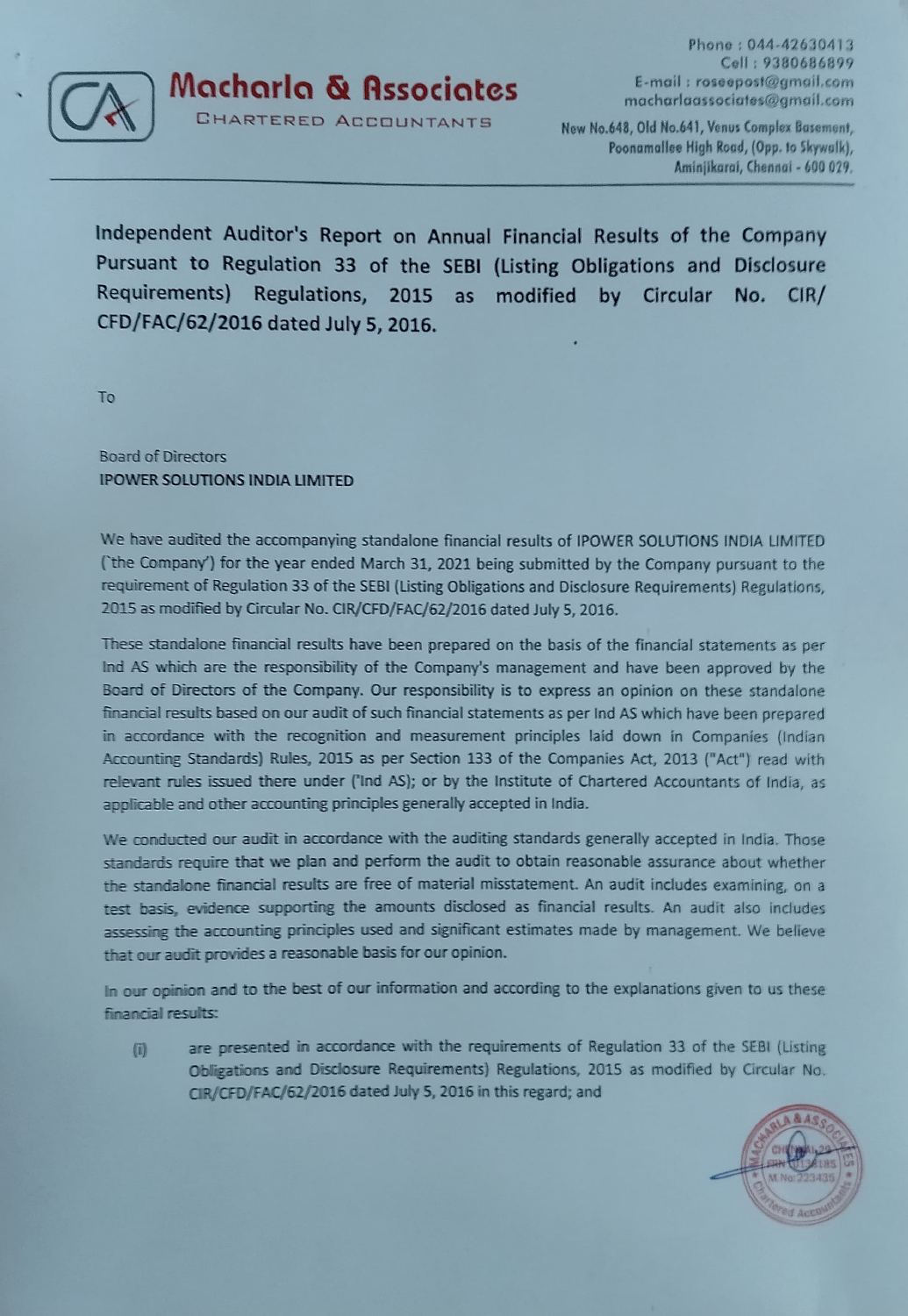

Macharla & Associates E-mail: roseeposi@gmail.com macharlaassociafes@gmail.com

CHARTERED ACCOUNTANTS New No.648, Old No.641, Venus Complex Basement,

Phone: 044-42630413 Coll: 9380686899

Poonamallee High Road, (Opp. to Skywalk), Aminjikarai, Chennai - 600 029.

Independent Auditor's Report on Annual Financial Results of the Company Pursuant to Regulation 33 of the SEBI (Listing Obligations and Disclosure Requirements) Regulations, 2015 as modified by Circular No. CIR/ CFD/FAC/62/2016 dated July 5, 2016.

To

Board of Directors IPOWER SOLUTIONS INDIA LIMITED

We have audited the accompanying standalone financial results of 1POWER SOLUTIONS INDIA LIMITED Cthe Company') for the year ended March 31, 2021 being submitted by the Company pursuant to the requirement of Regulation 33 of the SEBI (Listing Obligations and Disclosure Requirements) Regulations, 2015 as modified by Circular No. CIR/CFD/FAC/62/2016 dated July 5, 2016.

These standalone financial results have been prepared on the basis of the financial statements as per Ind AS which are the responsibility of the Company's management and have been approved by the Board of Directors of the Company. Our responsibility is to express an opinion on these standalone financial results based on our audit of such financial statements as per ind AS which have been prepared in accordance with the recognition and measurement principles laid down in Companies (Indian Accounting Standards) Rules, 2015 as per Section 133 of the Companies Act, 2013 ("Act") read with relevant rules issued there under ('Ind AS); or by the Institute of Chartered Accountants of India, as applicable and other accounting principles generally accepted in India.

We conducted our audit in accordance with the auditing standards generally accepted in India. Those standards require that we plan and perform the audit to obtain reasonable assurance about whether the standalone financial results are free of material misstatement. An audit includes examining, on a test basis, evidence supporting the amounts disclosed as financial results. An audit also includes assessing the accounting principles used and significant estimates made by management. We believe that our audit provides a reasonable basis for our opinion.

In our opinion and to the best of our information and according to the explanations given to us these financial results:

are presented in accordance with the requirements of Regulation 33 of the SEBI (Listing  $\left( 0 \right)$ Obligations and Disclosure Requirements) Regulations, 2015 as modified by Circular No. CIR/CFD/FAC/62/2016 dated July 5, 2016 in this regard; and

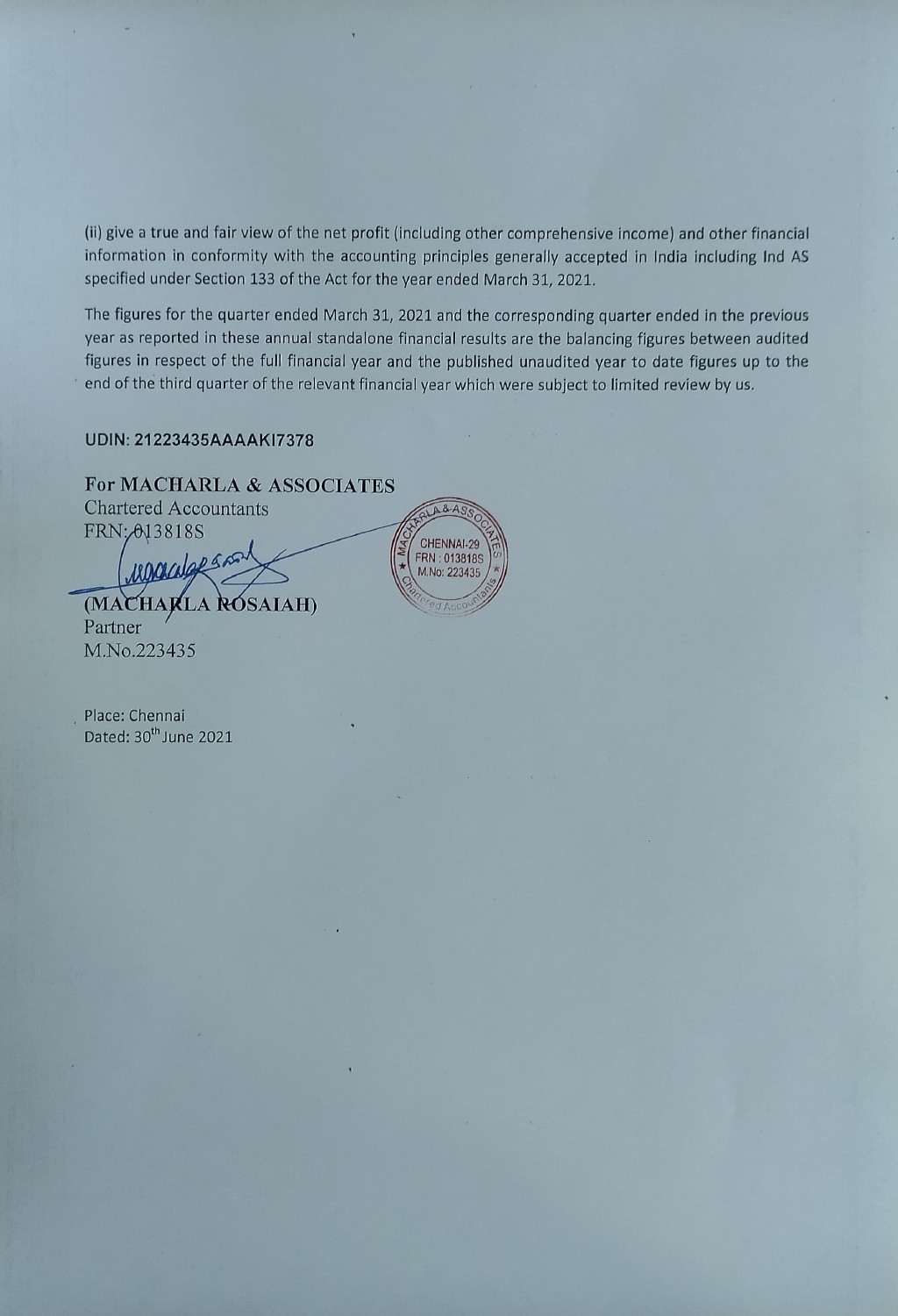(i) give a true and fair view of the net profit (including other comprehensive income) and other financial information in conformity with the accounting principles generally accepted in India including Ind AS specified under Section 133 of the Act for the year ended March 31, 2021.

The figures for the quarter ended March 31, 2021 and the corresponding quarter ended in the previous year as reported in these annual standalone financial results are the balancing figures between audited figures in respect of the full financial year and the published unaudited year to date figures up to the end of the third quarter of the relevant financial year which were subject to limited review by us.

#### UDIN: 21223435AAAAKI7378

# For MACHARLA & ASSOCIATES

Chartered Accountants<br>FRN: 013818S FRN: 013818S

Macalapsns. (MACHARLA RÓSAIAH) Partner M.No.223435



Place: Chennai Dated: 30<sup>th</sup> June 2021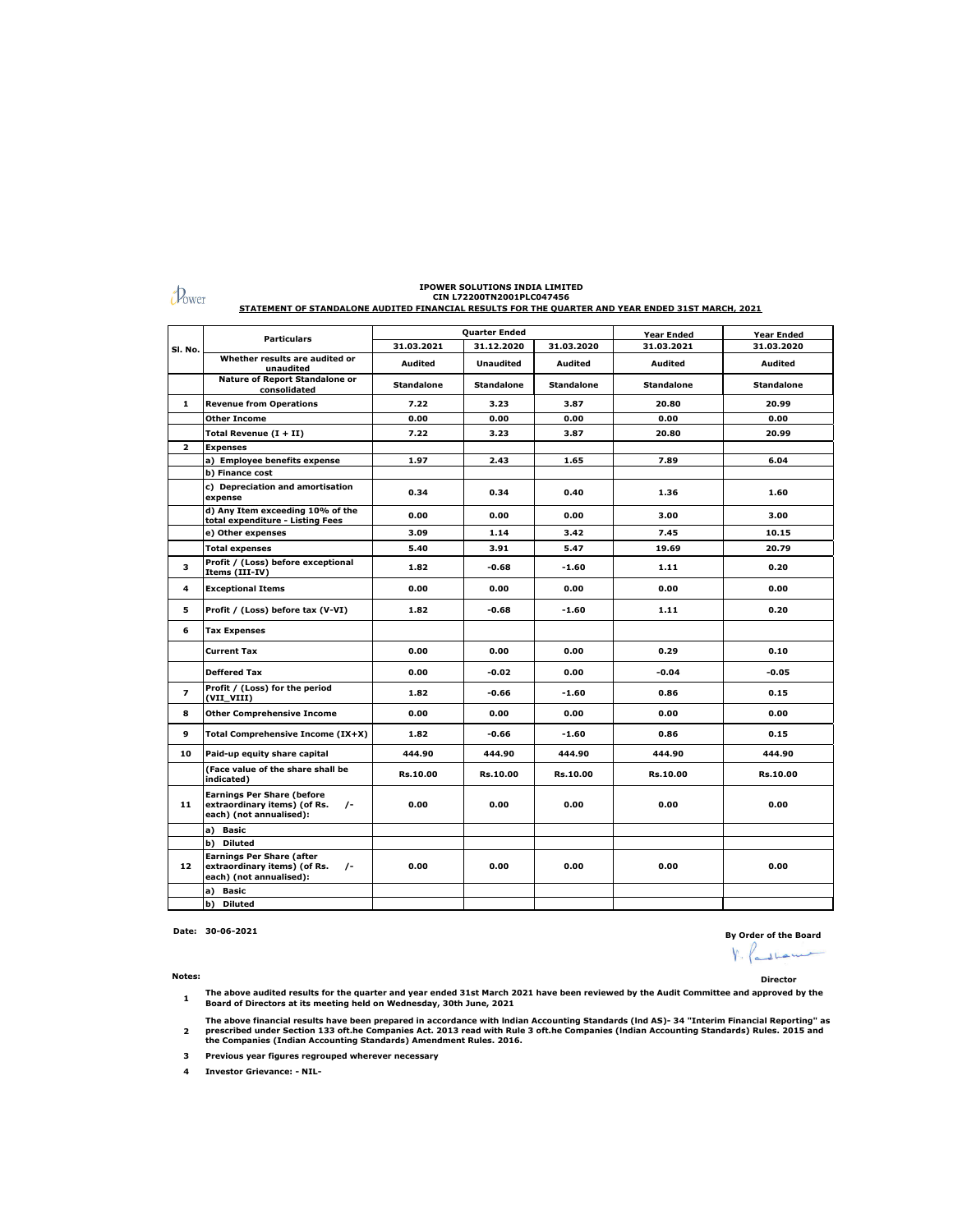|                | <b>Particulars</b>                                                                                         | Quarter Ended     |                   |                   | <b>Year Ended</b> | Year Ended        |
|----------------|------------------------------------------------------------------------------------------------------------|-------------------|-------------------|-------------------|-------------------|-------------------|
| SI. No.        |                                                                                                            | 31.03.2021        | 31.12.2020        | 31.03.2020        | 31.03.2021        | 31.03.2020        |
|                | Whether results are audited or<br>unaudited                                                                | Audited           | <b>Unaudited</b>  | Audited           | Audited           | Audited           |
|                | <b>Nature of Report Standalone or</b><br>consolidated                                                      | <b>Standalone</b> | <b>Standalone</b> | <b>Standalone</b> | <b>Standalone</b> | <b>Standalone</b> |
| 1              | <b>Revenue from Operations</b>                                                                             | 7.22              | 3.23              | 3.87              | 20.80             | 20.99             |
|                | <b>Other Income</b>                                                                                        | 0.00              | 0.00              | 0.00              | 0.00              | 0.00              |
|                | Total Revenue $(I + II)$                                                                                   | 7.22              | 3.23              | 3.87              | 20.80             | 20.99             |
| $\mathbf{z}$   | <b>Expenses</b>                                                                                            |                   |                   |                   |                   |                   |
|                | a) Employee benefits expense                                                                               | 1.97              | 2.43              | 1.65              | 7.89              | 6.04              |
|                | b) Finance cost                                                                                            |                   |                   |                   |                   |                   |
|                | c) Depreciation and amortisation<br>expense                                                                | 0.34              | 0.34              | 0.40              | 1.36              | 1.60              |
|                | d) Any Item exceeding 10% of the<br>total expenditure - Listing Fees                                       | 0.00              | 0.00              | 0.00              | 3.00              | 3.00              |
|                | e) Other expenses                                                                                          | 3.09              | 1.14              | 3.42              | 7.45              | 10.15             |
|                | <b>Total expenses</b>                                                                                      | 5.40              | 3.91              | 5.47              | 19.69             | 20.79             |
| 3              | Profit / (Loss) before exceptional<br>Items (III-IV)                                                       | 1.82              | $-0.68$           | $-1.60$           | 1.11              | 0.20              |
| 4              | <b>Exceptional Items</b>                                                                                   | 0.00              | 0.00              | 0.00              | 0.00              | 0.00              |
| 5              | Profit / (Loss) before tax (V-VI)                                                                          | 1.82              | $-0.68$           | $-1.60$           | 1.11              | 0.20              |
| 6              | <b>Tax Expenses</b>                                                                                        |                   |                   |                   |                   |                   |
|                | <b>Current Tax</b>                                                                                         | 0.00              | 0.00              | 0.00              | 0.29              | 0.10              |
|                | <b>Deffered Tax</b>                                                                                        | 0.00              | $-0.02$           | 0.00              | $-0.04$           | -0.05             |
| $\overline{ }$ | Profit / (Loss) for the period<br>(VII VIII)                                                               | 1.82              | -0.66             | $-1.60$           | 0.86              | 0.15              |
| 8              | <b>Other Comprehensive Income</b>                                                                          | 0.00              | 0.00              | 0.00              | 0.00              | 0.00              |
| 9              | Total Comprehensive Income (IX+X)                                                                          | 1.82              | $-0.66$           | $-1.60$           | 0.86              | 0.15              |
| 10             | Paid-up equity share capital                                                                               | 444.90            | 444.90            | 444.90            | 444.90            | 444.90            |
|                | (Face value of the share shall be<br>indicated)                                                            | Rs.10.00          | Rs.10.00          | Rs.10.00          | Rs.10.00          | Rs.10.00          |
| 11             | <b>Earnings Per Share (before</b><br>extraordinary items) (of Rs.<br>$\sqrt{-}$<br>each) (not annualised): | 0.00              | 0.00              | 0.00              | 0.00              | 0.00              |
|                | a) Basic                                                                                                   |                   |                   |                   |                   |                   |
|                | b) Diluted                                                                                                 |                   |                   |                   |                   |                   |
| 12             | <b>Earnings Per Share (after</b><br>extraordinary items) (of Rs.<br>$\sqrt{-}$<br>each) (not annualised):  | 0.00              | 0.00              | 0.00              | 0.00              | 0.00              |
|                | Basic<br>a)                                                                                                |                   |                   |                   |                   |                   |
|                | b)<br>Diluted                                                                                              |                   |                   |                   |                   |                   |

 $\mathcal{D}_{\text{ower}}$ 

## **IPOWER SOLUTIONS INDIA LIMITED CIN L72200TN2001PLC047456**

**STATEMENT OF STANDALONE AUDITED FINANCIAL RESULTS FOR THE QUARTER AND YEAR ENDED 31ST MARCH, 2021**

**Date: 30-06-2021 By Order of the Board**  $\mathcal{V} \cdot \mathcal{K}$ بسباحياته

**Notes: Director**

- **1 The above audited results for the quarter and year ended 31st March 2021 have been reviewed by the Audit Committee and approved by the Board of Directors at its meeting held on Wednesday, 30th June, 2021**
- **2** The above financial results have been prepared in accordance with Indian Accounting Standards (Ind AS)- 34 "Interim Financial Reporting" as<br>prescribed under Section 133 oft.he Companies Act. 2013 read with Rule 3 oft.he Co

**3 Previous year figures regrouped wherever necessary**

**4 Investor Grievance: - NIL-**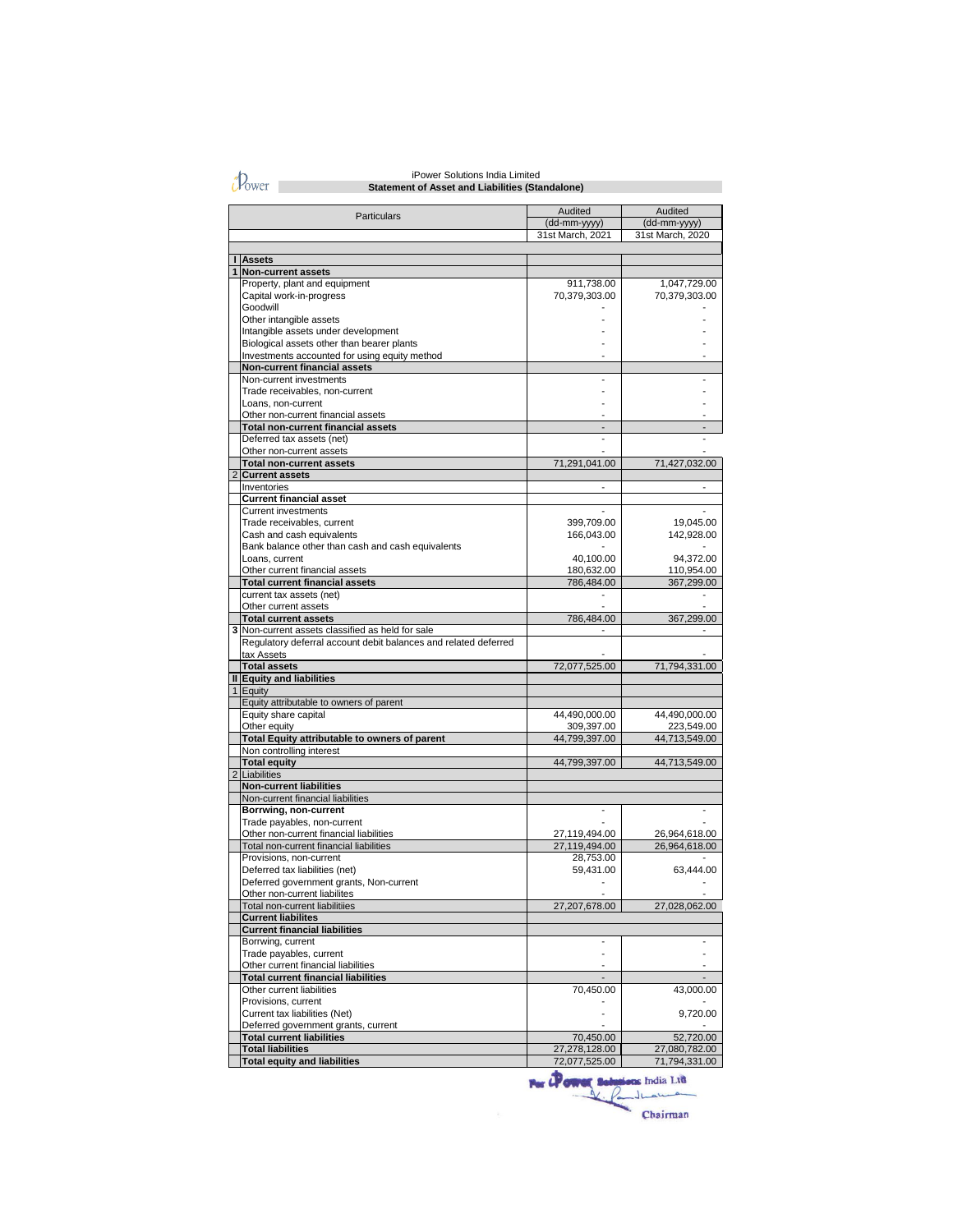$\partial$ <sub>Ower</sub>

### **Statement of Asset and Liabilities (Standalone)** iPower Solutions India Limited

|                                | Particulars                                                                     | Audited                     | Audited                 |
|--------------------------------|---------------------------------------------------------------------------------|-----------------------------|-------------------------|
|                                |                                                                                 | (dd-mm-yyyy)                | (dd-mm-yyyy)            |
|                                |                                                                                 | 31st March, 2021            | 31st March, 2020        |
|                                |                                                                                 |                             |                         |
| п                              | <b>Assets</b>                                                                   |                             |                         |
| 1                              | <b>Non-current assets</b>                                                       |                             |                         |
|                                | Property, plant and equipment                                                   | 911,738.00<br>70,379,303.00 | 1,047,729.00            |
|                                | Capital work-in-progress<br>Goodwill                                            |                             | 70,379,303.00           |
|                                | Other intangible assets                                                         |                             |                         |
|                                | Intangible assets under development                                             |                             |                         |
|                                | Biological assets other than bearer plants                                      |                             |                         |
|                                | Investments accounted for using equity method                                   |                             |                         |
|                                | Non-current financial assets                                                    |                             |                         |
|                                | Non-current investments                                                         |                             |                         |
|                                | Trade receivables, non-current                                                  |                             |                         |
|                                | Loans, non-current                                                              |                             |                         |
|                                | Other non-current financial assets<br><b>Total non-current financial assets</b> |                             |                         |
|                                | Deferred tax assets (net)                                                       |                             |                         |
|                                | Other non-current assets                                                        |                             |                         |
|                                | <b>Total non-current assets</b>                                                 | 71,291,041.00               | 71,427,032.00           |
| $\overline{2}$                 | <b>Current assets</b>                                                           |                             |                         |
|                                | Inventories                                                                     |                             |                         |
|                                | <b>Current financial asset</b>                                                  |                             |                         |
|                                | <b>Current investments</b>                                                      |                             |                         |
|                                | Trade receivables, current                                                      | 399,709.00                  | 19,045.00               |
|                                | Cash and cash equivalents                                                       | 166,043.00                  | 142,928.00              |
|                                | Bank balance other than cash and cash equivalents                               |                             |                         |
|                                | Loans, current<br>Other current financial assets                                | 40,100.00<br>180,632.00     | 94,372.00<br>110,954.00 |
|                                | <b>Total current financial assets</b>                                           | 786,484.00                  | 367,299.00              |
|                                | current tax assets (net)                                                        |                             |                         |
|                                | Other current assets                                                            |                             |                         |
|                                | <b>Total current assets</b>                                                     | 786,484.00                  | 367,299.00              |
| 3                              | Non-current assets classified as held for sale                                  |                             |                         |
|                                | Regulatory deferral account debit balances and related deferred                 |                             |                         |
|                                | tax Assets                                                                      |                             |                         |
|                                | <b>Total assets</b>                                                             | 72,077,525.00               | 71,794,331.00           |
| $\blacksquare$<br>$\mathbf{1}$ | <b>Equity and liabilities</b>                                                   |                             |                         |
|                                | Equity<br>Equity attributable to owners of parent                               |                             |                         |
|                                | Equity share capital                                                            | 44,490,000.00               | 44,490,000.00           |
|                                | Other equity                                                                    | 309,397.00                  | 223,549.00              |
|                                | Total Equity attributable to owners of parent                                   | 44,799,397.00               | 44,713,549.00           |
|                                | Non controlling interest                                                        |                             |                         |
|                                | <b>Total equity</b>                                                             | 44,799,397.00               | 44,713,549.00           |
| $\overline{2}$                 | Liabilities                                                                     |                             |                         |
|                                | <b>Non-current liabilities</b>                                                  |                             |                         |
|                                | Non-current financial liabilities                                               |                             |                         |
|                                | Borrwing, non-current<br>Trade payables, non-current                            |                             |                         |
|                                | Other non-current financial liabilities                                         | 27,119,494.00               | 26,964,618.00           |
|                                | Total non-current financial liabilities                                         | 27,119,494.00               | 26,964,618.00           |
|                                | Provisions, non-current                                                         | 28,753.00                   |                         |
|                                | Deferred tax liabilities (net)                                                  | 59,431.00                   | 63,444.00               |
|                                | Deferred government grants, Non-current                                         |                             |                         |
|                                | Other non-current liabilites                                                    |                             |                         |
|                                | Total non-current liabilitiies                                                  | 27,207,678.00               | 27,028,062.00           |
|                                | <b>Current liabilites</b>                                                       |                             |                         |
|                                | <b>Current financial liabilities</b>                                            |                             |                         |
|                                | Borrwing, current<br>Trade payables, current                                    |                             |                         |
|                                | Other current financial liabilities                                             |                             |                         |
|                                | <b>Total current financial liabilities</b>                                      |                             |                         |
|                                | Other current liabilities                                                       | 70,450.00                   | 43,000.00               |
|                                | Provisions, current                                                             |                             |                         |
|                                | Current tax liabilities (Net)                                                   |                             | 9,720.00                |
|                                | Deferred government grants, current                                             |                             |                         |
|                                | <b>Total current liabilities</b>                                                | 70,450.00                   | 52,720.00               |
|                                | <b>Total liabilities</b>                                                        | 27,278,128.00               | 27,080,782.00           |
|                                | <b>Total equity and liabilities</b>                                             | 72,077,525.00               | 71,794,331.00           |

**The County School The County of The County of The County of The County of The County of The County of The County of The County of The County of The County of The County of The County of The County of The County of The Cou** as India Ltd Chairman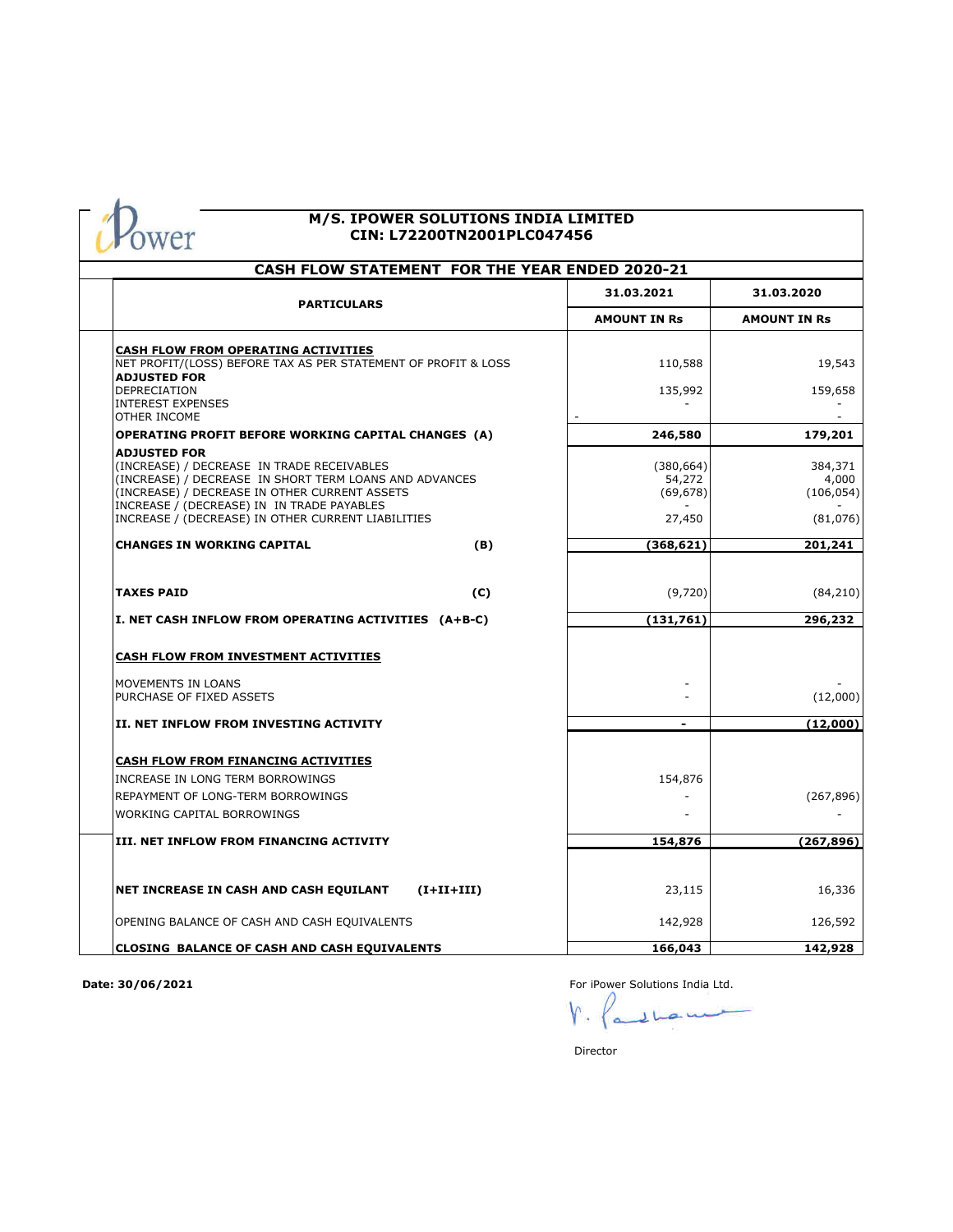

#### **M/S. IPOWER SOLUTIONS INDIA LIMITED CIN: L72200TN2001PLC047456**

| <b>CASH FLOW STATEMENT FOR THE YEAR ENDED 2020-21</b>                                                                                                                                                                                                                            |                                             |                                            |  |  |  |
|----------------------------------------------------------------------------------------------------------------------------------------------------------------------------------------------------------------------------------------------------------------------------------|---------------------------------------------|--------------------------------------------|--|--|--|
| <b>PARTICULARS</b>                                                                                                                                                                                                                                                               | 31.03.2021                                  | 31.03.2020                                 |  |  |  |
|                                                                                                                                                                                                                                                                                  | <b>AMOUNT IN Rs</b>                         | <b>AMOUNT IN Rs</b>                        |  |  |  |
| <b>CASH FLOW FROM OPERATING ACTIVITIES</b><br>NET PROFIT/(LOSS) BEFORE TAX AS PER STATEMENT OF PROFIT & LOSS<br><b>ADJUSTED FOR</b>                                                                                                                                              | 110,588                                     | 19,543                                     |  |  |  |
| DEPRECIATION<br><b>INTEREST EXPENSES</b><br>OTHER INCOME                                                                                                                                                                                                                         | 135,992                                     | 159,658                                    |  |  |  |
| <b>OPERATING PROFIT BEFORE WORKING CAPITAL CHANGES (A)</b>                                                                                                                                                                                                                       | 246,580                                     | 179,201                                    |  |  |  |
| <b>ADJUSTED FOR</b><br>(INCREASE) / DECREASE IN TRADE RECEIVABLES<br>(INCREASE) / DECREASE IN SHORT TERM LOANS AND ADVANCES<br>(INCREASE) / DECREASE IN OTHER CURRENT ASSETS<br>INCREASE / (DECREASE) IN IN TRADE PAYABLES<br>INCREASE / (DECREASE) IN OTHER CURRENT LIABILITIES | (380, 664)<br>54,272<br>(69, 678)<br>27,450 | 384,371<br>4,000<br>(106, 054)<br>(81,076) |  |  |  |
| <b>CHANGES IN WORKING CAPITAL</b>                                                                                                                                                                                                                                                | (368, 621)<br>(B)                           | 201,241                                    |  |  |  |
| <b>TAXES PAID</b>                                                                                                                                                                                                                                                                | (C)<br>(9,720)                              | (84, 210)                                  |  |  |  |
| I. NET CASH INFLOW FROM OPERATING ACTIVITIES (A+B-C)                                                                                                                                                                                                                             | (131,761)                                   | 296,232                                    |  |  |  |
| CASH FLOW FROM INVESTMENT ACTIVITIES                                                                                                                                                                                                                                             |                                             |                                            |  |  |  |
| MOVEMENTS IN LOANS<br>PURCHASE OF FIXED ASSETS                                                                                                                                                                                                                                   |                                             | (12,000)                                   |  |  |  |
| II. NET INFLOW FROM INVESTING ACTIVITY                                                                                                                                                                                                                                           |                                             | (12,000)                                   |  |  |  |
| <b>CASH FLOW FROM FINANCING ACTIVITIES</b>                                                                                                                                                                                                                                       |                                             |                                            |  |  |  |
| INCREASE IN LONG TERM BORROWINGS<br>REPAYMENT OF LONG-TERM BORROWINGS                                                                                                                                                                                                            | 154,876                                     |                                            |  |  |  |
| <b>WORKING CAPITAL BORROWINGS</b>                                                                                                                                                                                                                                                |                                             | (267, 896)                                 |  |  |  |
| III. NET INFLOW FROM FINANCING ACTIVITY                                                                                                                                                                                                                                          | 154,876                                     | (267,896)                                  |  |  |  |
|                                                                                                                                                                                                                                                                                  |                                             |                                            |  |  |  |
| NET INCREASE IN CASH AND CASH EQUILANT<br>$(I+II+III)$                                                                                                                                                                                                                           | 23,115                                      | 16,336                                     |  |  |  |
| OPENING BALANCE OF CASH AND CASH EQUIVALENTS                                                                                                                                                                                                                                     | 142,928                                     | 126,592                                    |  |  |  |
| <b>CLOSING BALANCE OF CASH AND CASH EQUIVALENTS</b>                                                                                                                                                                                                                              | 166,043                                     | 142,928                                    |  |  |  |

**Date: 30/06/2021**

For iPower Solutions India Ltd.

با ر

Director